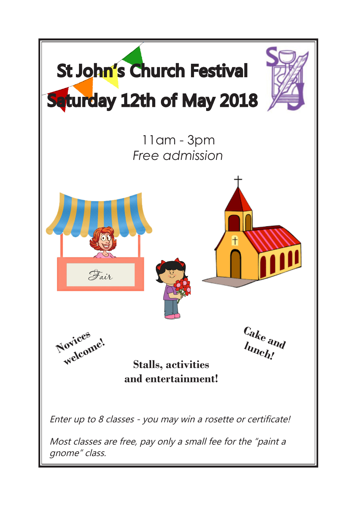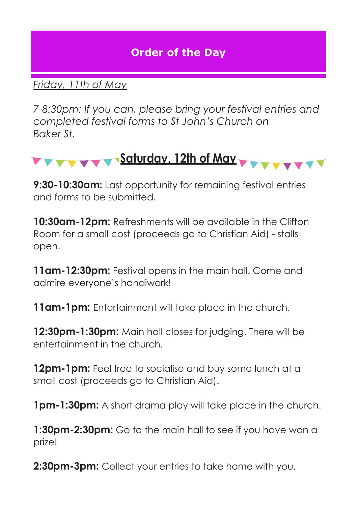### **Order of the Day**

#### *Friday, 11th of May*

*7-8:30pm: If you can, please bring your festival entries and completed festival forms to St John's Church on Baker St.* 



**9:30-10:30am:** Last opportunity for remaining festival entries and forms to be submitted.

**10:30am-12pm:** Refreshments will be available in the Clifton Room for a small cost (proceeds go to Christian Aid) - stalls open.

**11am-12:30pm:** Festival opens in the main hall. Come and admire everyone's handiwork!

**11am-1pm:** Entertainment will take place in the church.

**12:30pm-1:30pm:** Main hall closes for judging. There will be entertainment in the church.

**12pm-1pm:** Feel free to socialise and buy some lunch at a small cost (proceeds go to Christian Aid).

**1pm-1:30pm:** A short drama play will take place in the church.

**1:30pm-2:30pm:** Go to the main hall to see if you have won a prize!

**2:30pm-3pm:** Collect your entries to take home with you.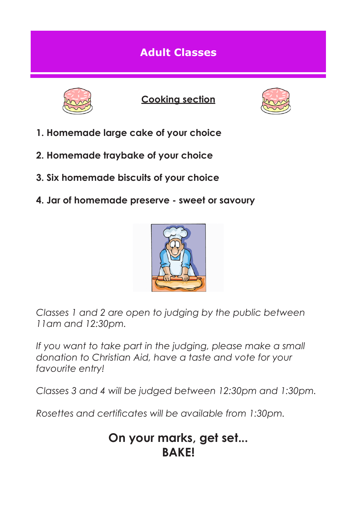### **Adult Classes**



**Cooking section**



- **1. Homemade large cake of your choice**
- **2. Homemade traybake of your choice**
- **3. Six homemade biscuits of your choice**
- **4. Jar of homemade preserve sweet or savoury**



*Classes 1 and 2 are open to judging by the public between 11am and 12:30pm.* 

*If you want to take part in the judging, please make a small donation to Christian Aid, have a taste and vote for your favourite entry!*

*Classes 3 and 4 will be judged between 12:30pm and 1:30pm.*

*Rosettes and certificates will be available from 1:30pm.* 

## **On your marks, get set... BAKE!**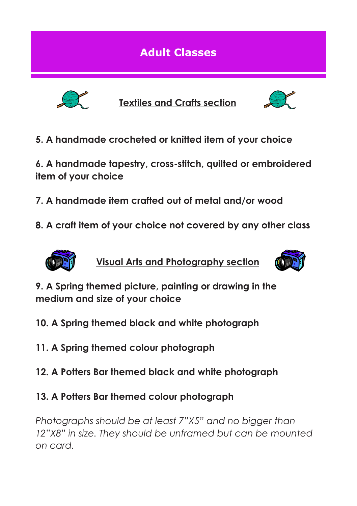**Adult Classes**



**Textiles and Crafts section**



**5. A handmade crocheted or knitted item of your choice** 

**6. A handmade tapestry, cross-stitch, quilted or embroidered item of your choice**

- **7. A handmade item crafted out of metal and/or wood**
- **8. A craft item of your choice not covered by any other class**



**Visual Arts and Photography section**



**9. A Spring themed picture, painting or drawing in the medium and size of your choice**

- **10. A Spring themed black and white photograph**
- **11. A Spring themed colour photograph**
- **12. A Potters Bar themed black and white photograph**
- **13. A Potters Bar themed colour photograph**

*Photographs should be at least 7"X5" and no bigger than 12"X8" in size. They should be unframed but can be mounted on card.*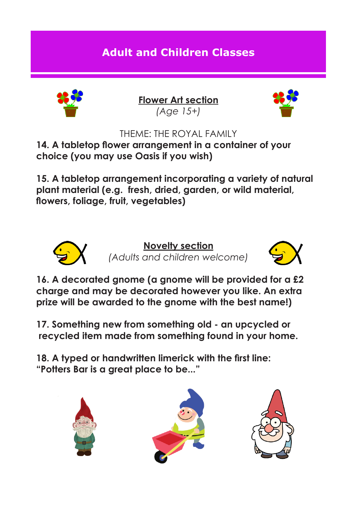# **Adult and Children Classes**



**Flower Art section** *(Age 15+)*



THEME: THE ROYAL FAMILY

**14. A tabletop flower arrangement in a container of your choice (you may use Oasis if you wish)**

**15. A tabletop arrangement incorporating a variety of natural plant material (e.g. fresh, dried, garden, or wild material, flowers, foliage, fruit, vegetables)**



**Novelty section** *(Adults and children welcome)*



**16. A decorated gnome (a gnome will be provided for a £2 charge and may be decorated however you like. An extra prize will be awarded to the gnome with the best name!)**

**17. Something new from something old - an upcycled or recycled item made from something found in your home.**

**18. A typed or handwritten limerick with the first line: "Potters Bar is a great place to be..."**





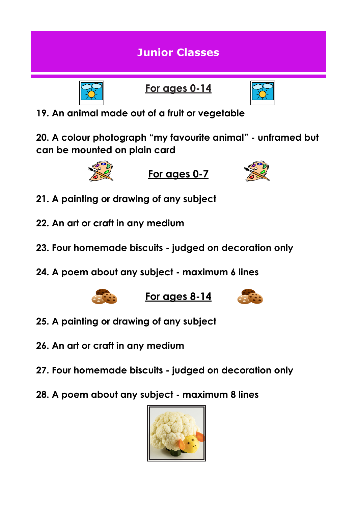### **Junior Classes**



**For ages 0-14**



**19. An animal made out of a fruit or vegetable** 

**20. A colour photograph "my favourite animal" - unframed but can be mounted on plain card**



**For ages 0-7**



- **21. A painting or drawing of any subject**
- **22. An art or craft in any medium**
- **23. Four homemade biscuits judged on decoration only**
- **24. A poem about any subject maximum 6 lines**



**For ages 8-14**



- **25. A painting or drawing of any subject**
- **26. An art or craft in any medium**
- **27. Four homemade biscuits judged on decoration only**
- **28. A poem about any subject maximum 8 lines**

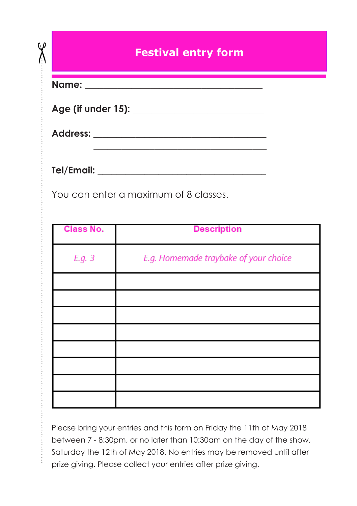### **Festival entry form**

<u> 1980 - An t-Albany a Chantara a Chantara a Chantara a Chantara a Chantara a Chantara a Chantara a Chantara a</u>

**Name: \_\_\_\_\_\_\_\_\_\_\_\_\_\_\_\_\_\_\_\_\_\_\_\_\_\_\_\_\_\_\_\_\_\_\_\_\_\_**

QP ľ

| Age (if under 15): |  |
|--------------------|--|
|--------------------|--|

**Address: \_\_\_\_\_\_\_\_\_\_\_\_\_\_\_\_\_\_\_\_\_\_\_\_\_\_\_\_\_\_\_\_\_\_\_\_\_**

**Tel/Email: \_\_\_\_\_\_\_\_\_\_\_\_\_\_\_\_\_\_\_\_\_\_\_\_\_\_\_\_\_\_\_\_\_\_\_\_**

………………………………………………………………………………………………………………………………………………....

You can enter a maximum of 8 classes.

| <b>Class No.</b> | <b>Description</b>                    |
|------------------|---------------------------------------|
| E.g. 3           | E.g. Homemade traybake of your choice |
|                  |                                       |
|                  |                                       |
|                  |                                       |
|                  |                                       |
|                  |                                       |
|                  |                                       |
|                  |                                       |
|                  |                                       |

Please bring your entries and this form on Friday the 11th of May 2018 between 7 - 8:30pm, or no later than 10:30am on the day of the show, Saturday the 12th of May 2018. No entries may be removed until after prize giving. Please collect your entries after prize giving.